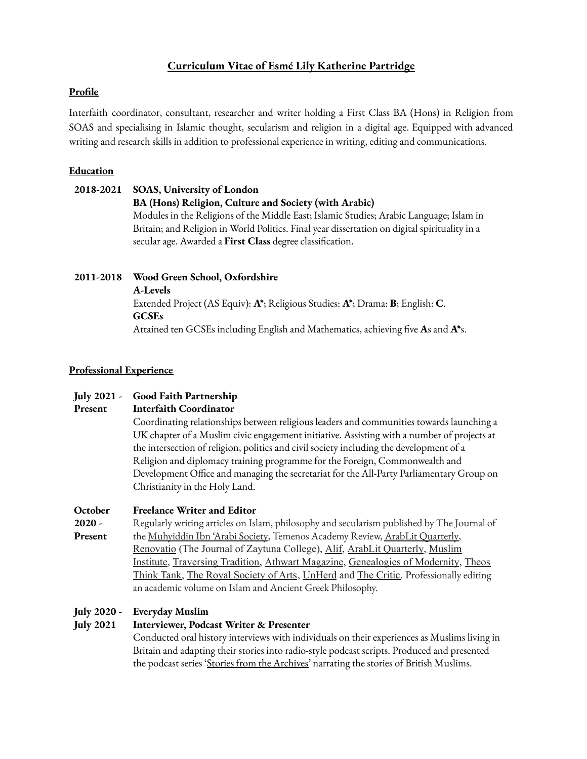## **Curriculum Vitae of Esmé Lily Katherine Partridge**

### **Profile**

Interfaith coordinator, consultant, researcher and writer holding a First Class BA (Hons) in Religion from SOAS and specialising in Islamic thought, secularism and religion in a digital age. Equipped with advanced writing and research skills in addition to professional experience in writing, editing and communications.

### **Education**

# **2018-2021 SOAS, University of London BA (Hons) Religion, Culture and Society (with Arabic)** Modules in the Religions of the Middle East; Islamic Studies; Arabic Language; Islam in Britain; and Religion in World Politics. Final year dissertation on digital spirituality in a secular age. Awarded a **First Class** degree classification.

# **2011-2018 Wood Green School, Oxfordshire**

**A-Levels**

Extended Project (AS Equiv): **A\***; Religious Studies: **A\***; Drama: **B**; English: **C**. **GCSEs** Attained ten GCSEs including English and Mathematics, achieving five **A**s and **A\***s.

### **Professional Experience**

#### **July 2021 - Good Faith Partnership**

#### **Present Interfaith Coordinator**

Coordinating relationships between religious leaders and communities towards launching a UK chapter of a Muslim civic engagement initiative. Assisting with a number of projects at the intersection of religion, politics and civil society including the development of a Religion and diplomacy training programme for the Foreign, Commonwealth and Development Office and managing the secretariat for the All-Party Parliamentary Group on Christianity in the Holy Land.

#### **October Freelance Writer and Editor**

**2020 - Present** Regularly writing articles on Islam, philosophy and secularism published by The Journal of the [Muhyiddin](https://www.academia.edu/44636215/The_Celestial_Polished_Mirror_The_Mystical_Dimension_of_the_Moon_according_to_Muhyiddin_Ibn_Arabi) Ibn 'Arabi Society, Temenos Academy Review, ArabLit [Quarterly,](https://www.amazon.co.uk/ArabLit-Quarterly-Spring-2021-SONG/dp/B08YQR5ZRM?dchild=1&keywords=ArabLit+Quarterly&qid=1615792415&sr=8-1&linkCode=sl1&tag=arablit-21&linkId=caf465d9560032e7869d0fddb24ed7ab&language=en_GB&ref_=as_li_ss_tl) [Renovatio](https://renovatio.zaytuna.edu/article/spirituality-in-the-postmodern-world) (The Journal of Zaytuna College), [Alif,](https://read.alifreview.com/beyond-enlightenment-rationality-islamic-epistemologies-44782e408c2c) ArabLit [Quarterly](https://arablit.org/tag/arablit-quarterly-spring-2021-song/), [Muslim](https://musliminstitute.org/freethinking/politics/how-cope-self-isolation-according-9th-century-islamic-philosopher) [Institute,](https://musliminstitute.org/freethinking/politics/how-cope-self-isolation-according-9th-century-islamic-philosopher) [Traversing](https://traversingtradition.com/2021/04/19/secularism-and-the-spiderweb-simile-of-surah-al-ankabut/) Tradition, Athwart [Magazine,](https://www.athwart.org/tradition-and-the-timeless-didactic-tradition-al-farabi-t-s-eliot/) [Genealogies](https://genealogiesofmodernity.org/journal/2021/11/7/detraditionalization-and-the-internet) of Modernity, [Theos](https://www.theosthinktank.co.uk/comment/2021/09/02/when-spirituality-meets-tiktok-genzs-answer-to-religion) [Think](https://www.theosthinktank.co.uk/comment/2021/09/02/when-spirituality-meets-tiktok-genzs-answer-to-religion) Tank, The Royal [Society](https://www.thersa.org/comment/2020/11/philosophy-without-religion-is-a-eurocentric-construct) of Arts, [UnHerd](https://unherd.com/author/esme-partridge/) and The [Critic.](https://thecritic.co.uk/the-death-of-ideals/) Professionally editing an academic volume on Islam and Ancient Greek Philosophy.

#### **July 2020 - Everyday Muslim**

#### **July 2021 Interviewer, Podcast Writer & Presenter**

Conducted oral history interviews with individuals on their experiences as Muslims living in Britain and adapting their stories into radio-style podcast scripts. Produced and presented the podcast series 'Stories from the [Archives'](https://www.everydaymuslim.org/podcast/) narrating the stories of British Muslims.